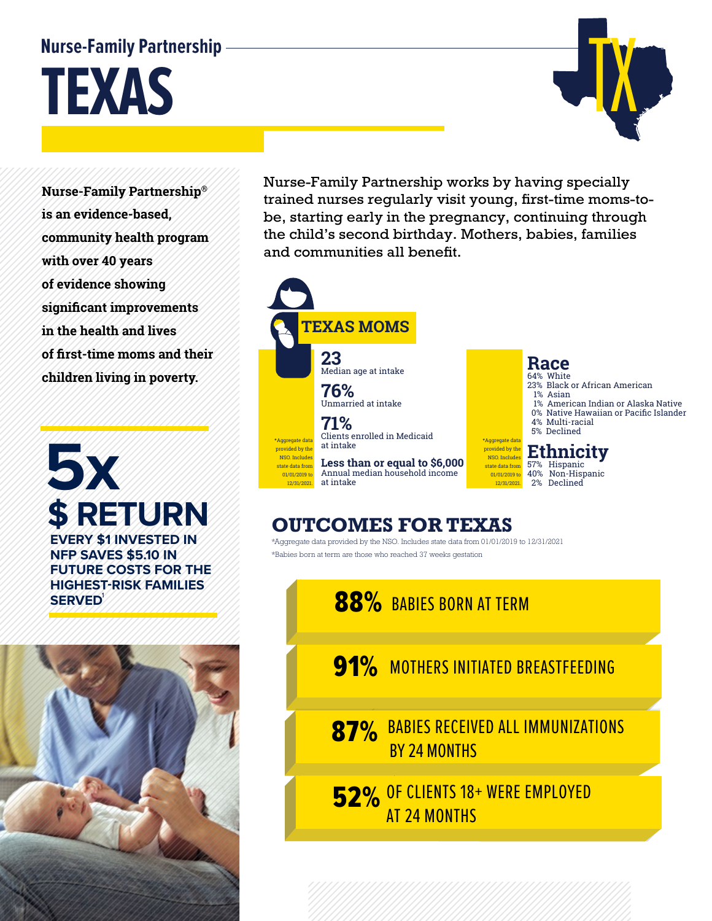## **Nurse-Family Partnership**

**TEXAS** 

**Nurse-Family Partnership® is an evidence-based, community health program with over 40 years of evidence showing significant improvements in the health and lives of first-time moms and their children living in poverty.**

**5x \$ RETURN EVERY \$1 INVESTED IN NFP SAVES \$5.10 IN FUTURE COSTS FOR THE HIGHEST-RISK FAMILIES SERVED** 



Nurse-Family Partnership works by having specially trained nurses regularly visit young, first-time moms-tobe, starting early in the pregnancy, continuing through the child's second birthday. Mothers, babies, families and communities all benefit.

**TX** 



## **OUTCOMES FOR TEXAS**

\*Aggregate data provided by the NSO. Includes state data from 01/01/2019 to 12/31/2021 \*Babies born at term are those who reached 37 weeks gestation